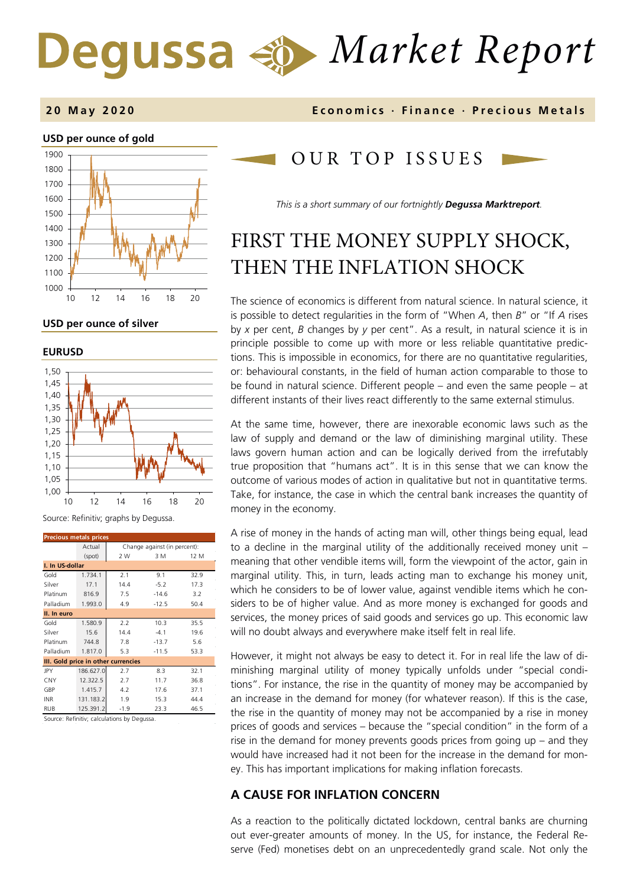# *Market Report*

#### **2 0 May 2020 Economics · Finance · Precious M etals**



**USD per ounce of silver** 

**EURUSD**



Source: Refinitiv; graphs by Degussa.

| <b>Precious metals prices</b>       |                                        |        |         |      |  |  |
|-------------------------------------|----------------------------------------|--------|---------|------|--|--|
|                                     | Actual<br>Change against (in percent): |        |         |      |  |  |
|                                     | (spot)                                 | 2 W    | 3 M     | 12 M |  |  |
|                                     | I. In US-dollar                        |        |         |      |  |  |
| Gold                                | 1.734.1                                | 2.1    | 9.1     | 32.9 |  |  |
| Silver                              | 17.1                                   | 14.4   | $-5.2$  | 17.3 |  |  |
| Platinum                            | 816.9                                  | 7.5    | $-14.6$ | 3.2  |  |  |
| Palladium                           | 1.993.0                                | 4.9    | $-12.5$ | 50.4 |  |  |
| II. In euro                         |                                        |        |         |      |  |  |
| Gold                                | 1.580.9                                | 2.2    | 10.3    | 35.5 |  |  |
| Silver                              | 15.6                                   | 14.4   | $-4.1$  | 19.6 |  |  |
| Platinum                            | 744.8                                  | 7.8    | $-13.7$ | 5.6  |  |  |
| Palladium                           | 1.817.0                                | 5.3    | $-11.5$ | 53.3 |  |  |
| III. Gold price in other currencies |                                        |        |         |      |  |  |
| JPY                                 | 186.627.0                              | 2.7    | 8.3     | 32.1 |  |  |
| <b>CNY</b>                          | 12.322.5                               | 2.7    | 11.7    | 36.8 |  |  |
| GBP                                 | 1.415.7                                | 4.2    | 17.6    | 37.1 |  |  |
| <b>INR</b>                          | 131.183.2                              | 1.9    | 15.3    | 44.4 |  |  |
| <b>RUB</b>                          | 125.391.2                              | $-1.9$ | 23.3    | 46.5 |  |  |

Source: Refinitiv; calculations by Degussa.

# OUR TOP ISSUE S

*This is a short summary of our fortnightly Degussa Marktreport.*

# FIRST THE MONEY SUPPLY SHOCK, THEN THE INFLATION SHOCK

The science of economics is different from natural science. In natural science, it is possible to detect regularities in the form of "When *A*, then *B*" or "If *A* rises by *x* per cent, *B* changes by *y* per cent". As a result, in natural science it is in principle possible to come up with more or less reliable quantitative predictions. This is impossible in economics, for there are no quantitative regularities, or: behavioural constants, in the field of human action comparable to those to be found in natural science. Different people – and even the same people – at different instants of their lives react differently to the same external stimulus.

At the same time, however, there are inexorable economic laws such as the law of supply and demand or the law of diminishing marginal utility. These laws govern human action and can be logically derived from the irrefutably true proposition that "humans act". It is in this sense that we can know the outcome of various modes of action in qualitative but not in quantitative terms. Take, for instance, the case in which the central bank increases the quantity of money in the economy.

A rise of money in the hands of acting man will, other things being equal, lead to a decline in the marginal utility of the additionally received money unit – meaning that other vendible items will, form the viewpoint of the actor, gain in marginal utility. This, in turn, leads acting man to exchange his money unit, which he considers to be of lower value, against vendible items which he considers to be of higher value. And as more money is exchanged for goods and services, the money prices of said goods and services go up. This economic law will no doubt always and everywhere make itself felt in real life.

However, it might not always be easy to detect it. For in real life the law of diminishing marginal utility of money typically unfolds under "special conditions". For instance, the rise in the quantity of money may be accompanied by an increase in the demand for money (for whatever reason). If this is the case, the rise in the quantity of money may not be accompanied by a rise in money prices of goods and services – because the "special condition" in the form of a rise in the demand for money prevents goods prices from going up – and they would have increased had it not been for the increase in the demand for money. This has important implications for making inflation forecasts.

## **A CAUSE FOR INFLATION CONCERN**

As a reaction to the politically dictated lockdown, central banks are churning out ever-greater amounts of money. In the US, for instance, the Federal Reserve (Fed) monetises debt on an unprecedentedly grand scale. Not only the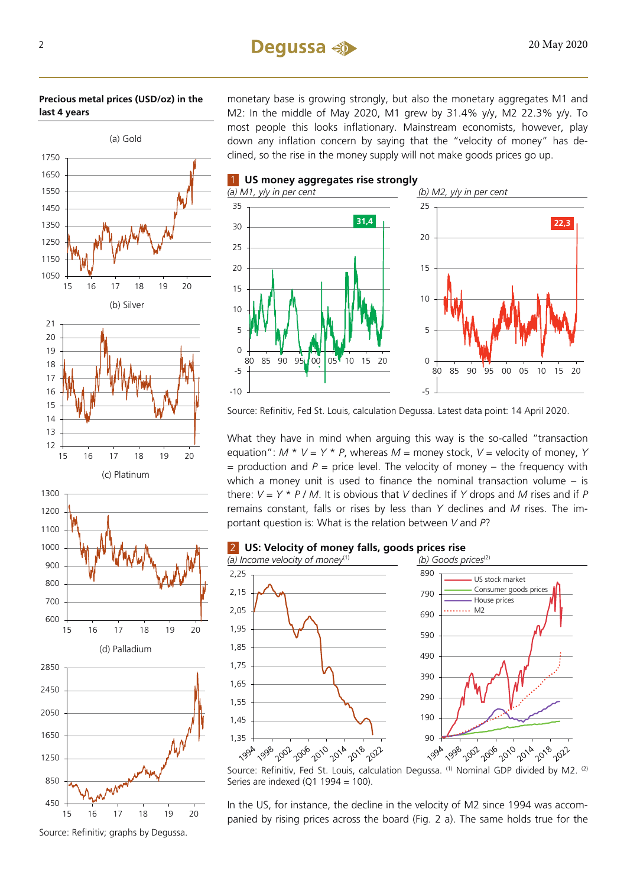#### **Precious metal prices (USD/oz) in the last 4 years**



monetary base is growing strongly, but also the monetary aggregates M1 and M2: In the middle of May 2020, M1 grew by 31.4% y/y, M2 22.3% y/y. To most people this looks inflationary. Mainstream economists, however, play down any inflation concern by saying that the "velocity of money" has declined, so the rise in the money supply will not make goods prices go up.



Source: Refinitiv, Fed St. Louis, calculation Degussa. Latest data point: 14 April 2020.

What they have in mind when arguing this way is the so-called "transaction equation":  $M * V = Y * P$ , whereas  $M =$  money stock,  $V =$  velocity of money, Y  $=$  production and  $P =$  price level. The velocity of money – the frequency with which a money unit is used to finance the nominal transaction volume – is there: *V* = *Y* \* *P* / *M*. It is obvious that *V* declines if *Y* drops and *M* rises and if *P* remains constant, falls or rises by less than *Y* declines and *M* rises. The important question is: What is the relation between *V* and *P*?



Source: Refinitiv, Fed St. Louis, calculation Degussa. (1) Nominal GDP divided by M2. <sup>(2)</sup> Series are indexed (Q1 1994 = 100).

In the US, for instance, the decline in the velocity of M2 since 1994 was accompanied by rising prices across the board (Fig. 2 a). The same holds true for the

Source: Refinitiv; graphs by Degussa.

15 16 17 18 19 20

(d) Palladium

15 16 17 18 19 20

600 700

450

850

1250

1650

2050

2450

2850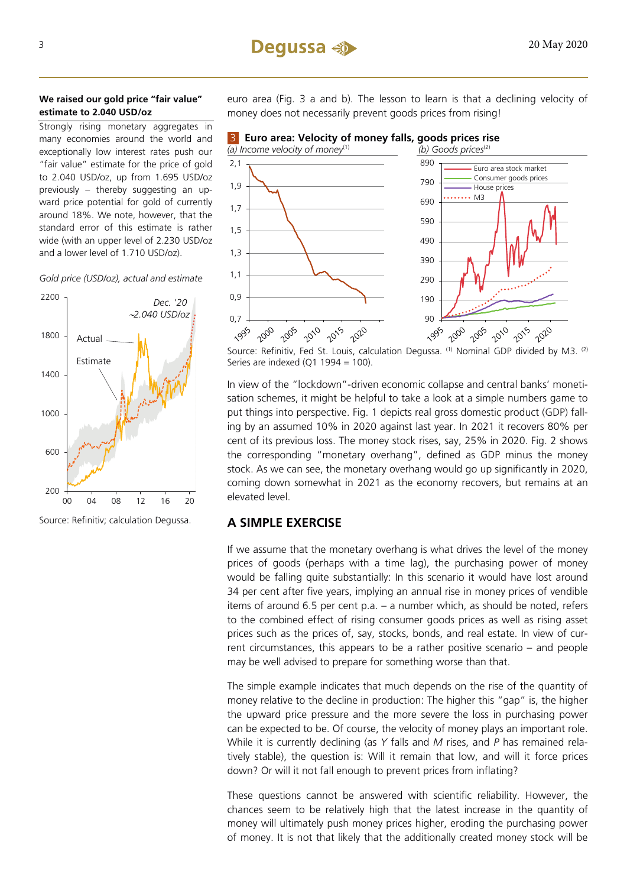#### **We raised our gold price "fair value" estimate to 2.040 USD/oz**

Strongly rising monetary aggregates in many economies around the world and exceptionally low interest rates push our "fair value" estimate for the price of gold to 2.040 USD/oz, up from 1.695 USD/oz previously – thereby suggesting an upward price potential for gold of currently around 18%. We note, however, that the standard error of this estimate is rather wide (with an upper level of 2.230 USD/oz and a lower level of 1.710 USD/oz).



*Gold price (USD/oz), actual and estimate* 

euro area (Fig. 3 a and b). The lesson to learn is that a declining velocity of money does not necessarily prevent goods prices from rising!



Source: Refinitiv, Fed St. Louis, calculation Degussa. (1) Nominal GDP divided by M3. (2) Series are indexed  $(Q1 1994 = 100)$ .

In view of the "lockdown"-driven economic collapse and central banks' monetisation schemes, it might be helpful to take a look at a simple numbers game to put things into perspective. Fig. 1 depicts real gross domestic product (GDP) falling by an assumed 10% in 2020 against last year. In 2021 it recovers 80% per cent of its previous loss. The money stock rises, say, 25% in 2020. Fig. 2 shows the corresponding "monetary overhang", defined as GDP minus the money stock. As we can see, the monetary overhang would go up significantly in 2020, coming down somewhat in 2021 as the economy recovers, but remains at an elevated level.

## **A SIMPLE EXERCISE**

If we assume that the monetary overhang is what drives the level of the money prices of goods (perhaps with a time lag), the purchasing power of money would be falling quite substantially: In this scenario it would have lost around 34 per cent after five years, implying an annual rise in money prices of vendible items of around 6.5 per cent p.a. – a number which, as should be noted, refers to the combined effect of rising consumer goods prices as well as rising asset prices such as the prices of, say, stocks, bonds, and real estate. In view of current circumstances, this appears to be a rather positive scenario – and people may be well advised to prepare for something worse than that.

The simple example indicates that much depends on the rise of the quantity of money relative to the decline in production: The higher this "gap" is, the higher the upward price pressure and the more severe the loss in purchasing power can be expected to be. Of course, the velocity of money plays an important role. While it is currently declining (as *Y* falls and *M* rises, and *P* has remained relatively stable), the question is: Will it remain that low, and will it force prices down? Or will it not fall enough to prevent prices from inflating?

These questions cannot be answered with scientific reliability. However, the chances seem to be relatively high that the latest increase in the quantity of money will ultimately push money prices higher, eroding the purchasing power of money. It is not that likely that the additionally created money stock will be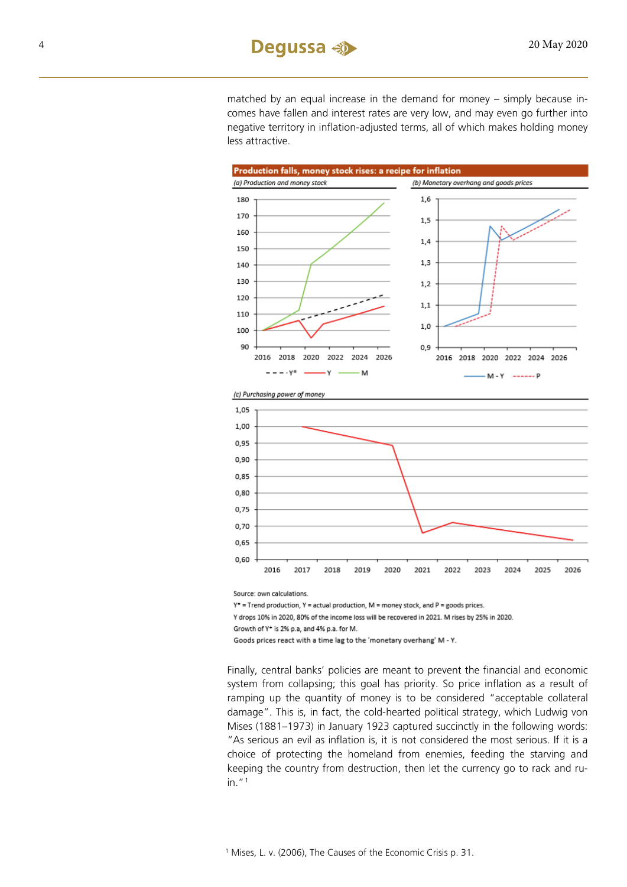matched by an equal increase in the demand for money – simply because incomes have fallen and interest rates are very low, and may even go further into negative territory in inflation-adjusted terms, all of which makes holding money less attractive.



Source: own calculations.

 $Y^*$  = Trend production,  $Y$  = actual production,  $M$  = money stock, and  $P$  = goods prices.

Y drops 10% in 2020, 80% of the income loss will be recovered in 2021. M rises by 25% in 2020.

Growth of Y\* is 2% p.a, and 4% p.a. for M.

Goods prices react with a time lag to the 'monetary overhang' M - Y.

<span id="page-3-0"></span>Finally, central banks' policies are meant to prevent the financial and economic system from collapsing; this goal has priority. So price inflation as a result of ramping up the quantity of money is to be considered "acceptable collateral damage". This is, in fact, the cold-hearted political strategy, which Ludwig von Mises (1881–1973) in January 1923 captured succinctly in the following words: "As serious an evil as inflation is, it is not considered the most serious. If it is a choice of protecting the homeland from enemies, feeding the starving and keeping the country from destruction, then let the currency go to rack and ruin."[1](#page-3-0)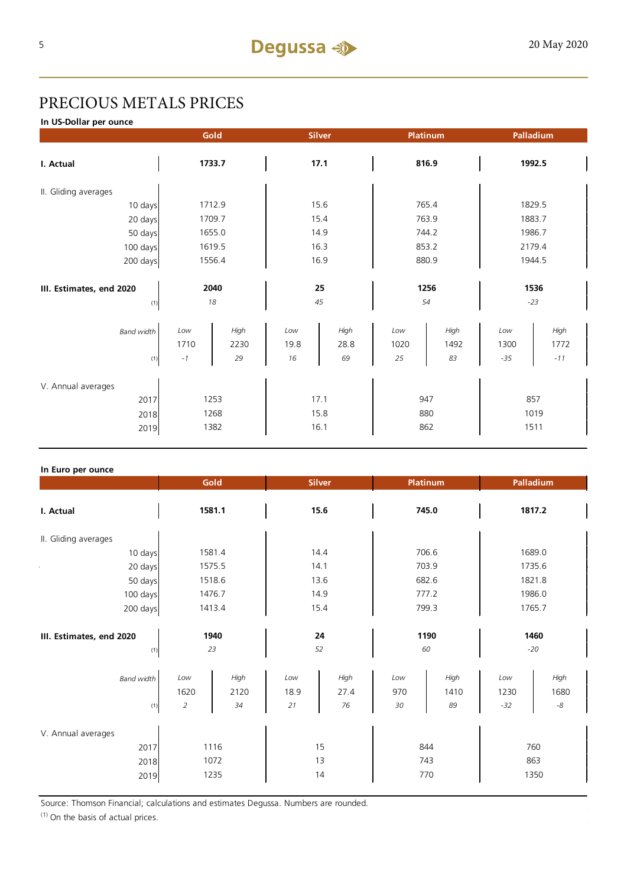# PRECIOUS METALS PRICES

**In US-Dollar per ounce**

|                                 | Gold       |        |          | <b>Silver</b> |            | Platinum | Palladium     |       |  |
|---------------------------------|------------|--------|----------|---------------|------------|----------|---------------|-------|--|
| I. Actual                       | 1733.7     |        | 17.1     |               | 816.9      |          | 1992.5        |       |  |
| II. Gliding averages            |            |        |          |               |            |          |               |       |  |
| 10 days                         |            | 1712.9 | 15.6     |               | 765.4      |          | 1829.5        |       |  |
| 20 days                         |            | 1709.7 | 15.4     |               | 763.9      |          | 1883.7        |       |  |
| 50 days                         |            | 1655.0 | 14.9     |               | 744.2      |          | 1986.7        |       |  |
| 100 days                        | 1619.5     |        | 16.3     |               | 853.2      |          | 2179.4        |       |  |
| 200 days                        | 1556.4     |        | 16.9     |               | 880.9      |          | 1944.5        |       |  |
| III. Estimates, end 2020<br>(1) | 2040<br>18 |        | 25<br>45 |               | 1256<br>54 |          | 1536<br>$-23$ |       |  |
| <b>Band width</b>               | Low        | High   | Low      | High          | Low        | High     | Low           | High  |  |
|                                 | 1710       | 2230   | 19.8     | 28.8          | 1020       | 1492     | 1300          | 1772  |  |
| (1)                             | $-1$       | 29     | 16       | 69            | 25         | 83       | $-35$         | $-11$ |  |
| V. Annual averages              |            |        |          |               |            |          |               |       |  |
| 2017                            | 1253       |        | 17.1     |               | 947        |          | 857           |       |  |
| 2018                            |            | 1268   | 15.8     |               | 880        |          | 1019          |       |  |
| 2019                            | 1382       |        | 16.1     |               | 862        |          | 1511          |       |  |

#### **In Euro per ounce**

|                                            | Gold<br><b>Silver</b>         |                    |                     |                    | Platinum          | Palladium          |                      |                             |
|--------------------------------------------|-------------------------------|--------------------|---------------------|--------------------|-------------------|--------------------|----------------------|-----------------------------|
| I. Actual                                  | 1581.1                        |                    | 15.6                |                    | 745.0             |                    | 1817.2               |                             |
| II. Gliding averages                       |                               |                    |                     |                    |                   |                    |                      |                             |
| 10 days                                    | 1581.4                        |                    | 14.4                |                    | 706.6             |                    | 1689.0               |                             |
| 20 days                                    | 1575.5                        |                    | 14.1                |                    | 703.9             |                    | 1735.6               |                             |
| 50 days                                    | 1518.6                        |                    | 13.6                |                    | 682.6             |                    | 1821.8               |                             |
| 100 days                                   | 1476.7                        |                    | 14.9                |                    | 777.2             |                    | 1986.0               |                             |
| 200 days                                   | 1413.4                        |                    | 15.4                |                    | 799.3             |                    | 1765.7               |                             |
| III. Estimates, end 2020<br>(1)            | 1940<br>23                    |                    | 24<br>52            |                    | 1190<br>60        |                    | 1460<br>$-20$        |                             |
| <b>Band width</b><br>(1)                   | Low<br>1620<br>$\overline{2}$ | High<br>2120<br>34 | Low<br>18.9<br>$21$ | High<br>27.4<br>76 | Low<br>970<br>30  | High<br>1410<br>89 | Low<br>1230<br>$-32$ | High<br>1680<br>$\text{-}8$ |
| V. Annual averages<br>2017<br>2018<br>2019 | 1116<br>1072<br>1235          |                    | 15<br>13<br>14      |                    | 844<br>743<br>770 |                    | 760<br>863<br>1350   |                             |

Source: Thomson Financial; calculations and estimates Degussa. Numbers are rounded.

(1) On the basis of actual prices.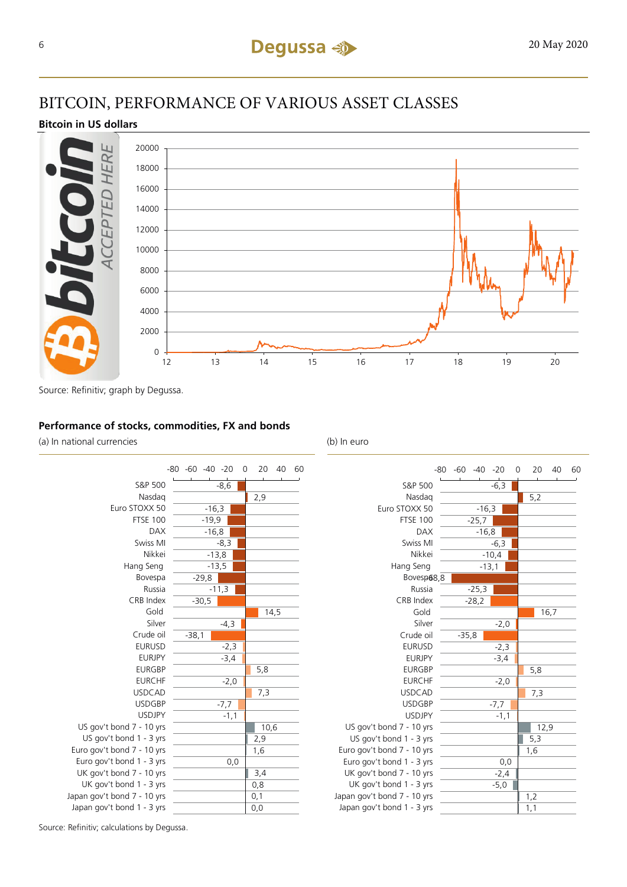# BITCOIN, PERFORMANCE OF VARIOUS ASSET CLASSES

## **Bitcoin in US dollars**



Source: Refinitiv; graph by Degussa.

### **Performance of stocks, commodities, FX and bonds**

(a) In national currencies (b) In euro



|                             | $-60 - 40 - 20$<br>-80 |         | 0 | 20   | 40   | 60 |
|-----------------------------|------------------------|---------|---|------|------|----|
| S&P 500                     |                        | $-6,3$  |   |      |      |    |
| Nasdag                      |                        |         |   | 5,2  |      |    |
| Euro STOXX 50               | $-16,3$                |         |   |      |      |    |
| <b>FTSE 100</b>             | $-25,7$                |         |   |      |      |    |
| <b>DAX</b>                  | $-16,8$                |         |   |      |      |    |
| Swiss MI                    |                        | $-6,3$  |   |      |      |    |
| Nikkei                      |                        | $-10,4$ |   |      |      |    |
| Hang Seng                   | $-13,1$                |         |   |      |      |    |
| Bovesp68,8                  |                        |         |   |      |      |    |
| Russia                      | $-25,3$                |         |   |      |      |    |
| CRB Index                   | $-28,2$                |         |   |      |      |    |
| Gold                        |                        |         |   |      | 16,7 |    |
| Silver                      |                        | $-2,0$  |   |      |      |    |
| Crude oil                   | $-35,8$                |         |   |      |      |    |
| <b>EURUSD</b>               |                        | $-2,3$  |   |      |      |    |
| <b>EURJPY</b>               |                        | $-3,4$  |   |      |      |    |
| <b>EURGBP</b>               |                        |         |   | 5,8  |      |    |
| <b>EURCHF</b>               |                        | $-2,0$  |   |      |      |    |
| <b>USDCAD</b>               |                        |         |   | 7,3  |      |    |
| <b>USDGBP</b>               |                        | $-7,7$  |   |      |      |    |
| <b>USDJPY</b>               |                        | $-1,1$  |   |      |      |    |
| US gov't bond 7 - 10 yrs    |                        |         |   | 12,9 |      |    |
| US gov't bond 1 - 3 yrs     |                        |         |   | 5,3  |      |    |
| Euro gov't bond 7 - 10 yrs  |                        |         |   | 1,6  |      |    |
| Euro gov't bond 1 - 3 yrs   |                        | 0,0     |   |      |      |    |
| UK gov't bond 7 - 10 yrs    |                        | $-2,4$  |   |      |      |    |
| UK gov't bond 1 - 3 yrs     |                        | $-5,0$  |   |      |      |    |
| Japan gov't bond 7 - 10 yrs |                        |         |   | 1,2  |      |    |
| Japan gov't bond 1 - 3 yrs  |                        |         |   | 1,1  |      |    |

Source: Refinitiv; calculations by Degussa.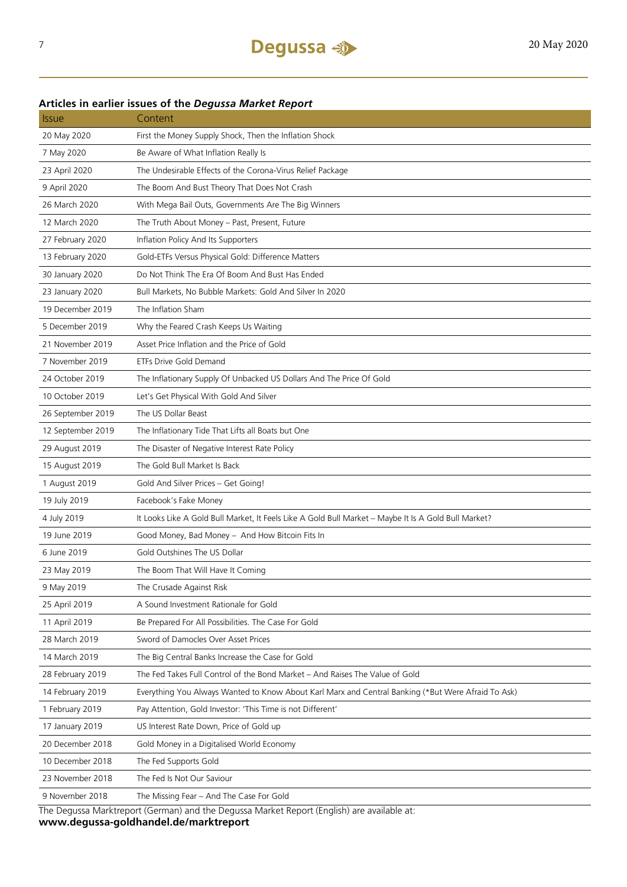## **Articles in earlier issues of the** *Degussa Market Report*

| <b>Issue</b>      | Content                                                                                              |
|-------------------|------------------------------------------------------------------------------------------------------|
| 20 May 2020       | First the Money Supply Shock, Then the Inflation Shock                                               |
| 7 May 2020        | Be Aware of What Inflation Really Is                                                                 |
| 23 April 2020     | The Undesirable Effects of the Corona-Virus Relief Package                                           |
| 9 April 2020      | The Boom And Bust Theory That Does Not Crash                                                         |
| 26 March 2020     | With Mega Bail Outs, Governments Are The Big Winners                                                 |
| 12 March 2020     | The Truth About Money - Past, Present, Future                                                        |
| 27 February 2020  | Inflation Policy And Its Supporters                                                                  |
| 13 February 2020  | Gold-ETFs Versus Physical Gold: Difference Matters                                                   |
| 30 January 2020   | Do Not Think The Era Of Boom And Bust Has Ended                                                      |
| 23 January 2020   | Bull Markets, No Bubble Markets: Gold And Silver In 2020                                             |
| 19 December 2019  | The Inflation Sham                                                                                   |
| 5 December 2019   | Why the Feared Crash Keeps Us Waiting                                                                |
| 21 November 2019  | Asset Price Inflation and the Price of Gold                                                          |
| 7 November 2019   | ETFs Drive Gold Demand                                                                               |
| 24 October 2019   | The Inflationary Supply Of Unbacked US Dollars And The Price Of Gold                                 |
| 10 October 2019   | Let's Get Physical With Gold And Silver                                                              |
| 26 September 2019 | The US Dollar Beast                                                                                  |
| 12 September 2019 | The Inflationary Tide That Lifts all Boats but One                                                   |
| 29 August 2019    | The Disaster of Negative Interest Rate Policy                                                        |
| 15 August 2019    | The Gold Bull Market Is Back                                                                         |
| 1 August 2019     | Gold And Silver Prices - Get Going!                                                                  |
| 19 July 2019      | Facebook's Fake Money                                                                                |
| 4 July 2019       | It Looks Like A Gold Bull Market, It Feels Like A Gold Bull Market - Maybe It Is A Gold Bull Market? |
| 19 June 2019      | Good Money, Bad Money - And How Bitcoin Fits In                                                      |
| 6 June 2019       | Gold Outshines The US Dollar                                                                         |
| 23 May 2019       | The Boom That Will Have It Coming                                                                    |
| 9 May 2019        | The Crusade Against Risk                                                                             |
| 25 April 2019     | A Sound Investment Rationale for Gold                                                                |
| 11 April 2019     | Be Prepared For All Possibilities. The Case For Gold                                                 |
| 28 March 2019     | Sword of Damocles Over Asset Prices                                                                  |
| 14 March 2019     | The Big Central Banks Increase the Case for Gold                                                     |
| 28 February 2019  | The Fed Takes Full Control of the Bond Market - And Raises The Value of Gold                         |
| 14 February 2019  | Everything You Always Wanted to Know About Karl Marx and Central Banking (*But Were Afraid To Ask)   |
| 1 February 2019   | Pay Attention, Gold Investor: 'This Time is not Different'                                           |
| 17 January 2019   | US Interest Rate Down, Price of Gold up                                                              |
| 20 December 2018  | Gold Money in a Digitalised World Economy                                                            |
| 10 December 2018  | The Fed Supports Gold                                                                                |
| 23 November 2018  | The Fed Is Not Our Saviour                                                                           |
| 9 November 2018   | The Missing Fear - And The Case For Gold                                                             |
|                   |                                                                                                      |

The Degussa Marktreport (German) and the Degussa Market Report (English) are available at: **www.degussa-goldhandel.de/marktreport**